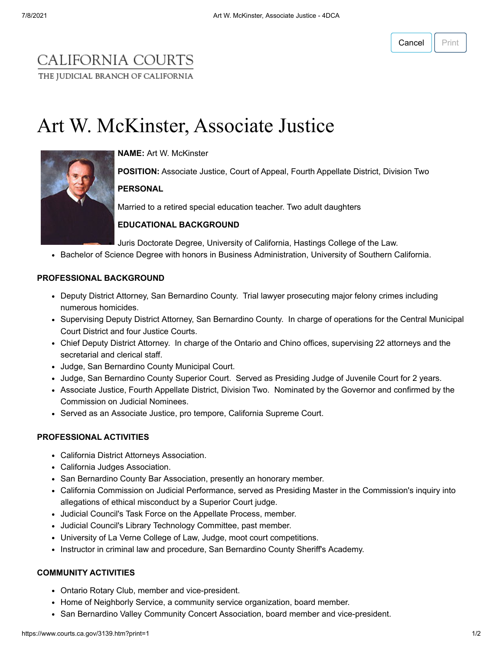## CALIFORNIA COURTS THE JUDICIAL BRANCH OF CALIFORNIA

# Art W. McKinster, Associate Justice



**NAME:** Art W. McKinster

**POSITION:** Associate Justice, Court of Appeal, Fourth Appellate District, Division Two

### **PERSONAL**

Married to a retired special education teacher. Two adult daughters

#### **EDUCATIONAL BACKGROUND**

Juris Doctorate Degree, University of California, Hastings College of the Law.

• Bachelor of Science Degree with honors in Business Administration, University of Southern California.

#### **PROFESSIONAL BACKGROUND**

- Deputy District Attorney, San Bernardino County. Trial lawyer prosecuting major felony crimes including numerous homicides.
- Supervising Deputy District Attorney, San Bernardino County. In charge of operations for the Central Municipal Court District and four Justice Courts.
- Chief Deputy District Attorney. In charge of the Ontario and Chino offices, supervising 22 attorneys and the secretarial and clerical staff.
- Judge, San Bernardino County Municipal Court.
- Judge, San Bernardino County Superior Court. Served as Presiding Judge of Juvenile Court for 2 years.
- Associate Justice, Fourth Appellate District, Division Two. Nominated by the Governor and confirmed by the Commission on Judicial Nominees.
- Served as an Associate Justice, pro tempore, California Supreme Court.

#### **PROFESSIONAL ACTIVITIES**

- California District Attorneys Association.
- California Judges Association.
- San Bernardino County Bar Association, presently an honorary member.
- California Commission on Judicial Performance, served as Presiding Master in the Commission's inquiry into allegations of ethical misconduct by a Superior Court judge.
- Judicial Council's Task Force on the Appellate Process, member.
- Judicial Council's Library Technology Committee, past member.
- University of La Verne College of Law, Judge, moot court competitions.
- Instructor in criminal law and procedure, San Bernardino County Sheriff's Academy.

#### **COMMUNITY ACTIVITIES**

- Ontario Rotary Club, member and vice-president.
- Home of Neighborly Service, a community service organization, board member.
- San Bernardino Valley Community Concert Association, board member and vice-president.